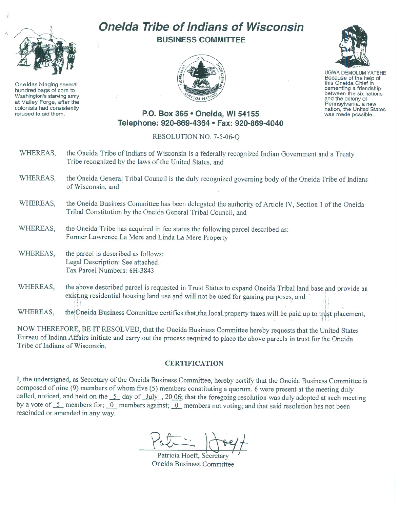

Oneidas bringing several hundred bags of corn to Washington's starving army at Valley Forge, after the refused to aid them.

## **Oneida Tribe of Indians of Wisconsin BUSINESS COMMITTEE**





UGWA DEMOLUM YATEHE Because of the help of this Oneida Chief in<br>cementing a friendship between the six nations and the colony of<br>Pennsylvania, a new nation, the United States was made possible.

## **P.O. Box 365· Oneida,** WI 54155 **Telephone: 920-869-4364 • Fax: 920-869-4040**

## RESOLUTION NO. 7-5-06-Q

- WHEREAS, the Oneida Tribe of Indians of Wisconsin is a federally recognized Indian Government and a Treaty Tribe recognized by the laws of the United States, and
- WHEREAS, the Oneida General Tribal Council is the duly recognized governing body of the Oneida Tribe of Indians of Wisconsin, and
- WHEREAS, the Oneida Business Committee has been delegated the authority of Article IV, Section 1 of the Oneida Tribal Constitution by the Oneida General Tribal Council, and
- WHEREAS, the Oneida Tribe has acquired in fee status the following parcel described as: Fonner Lawrence La Mere and Linda La Mere Property
- WHEREAS, the parcel is described as follows: Legal Description: See attached. Tax Parcel Numbers: 6H-3843
- WHEREAS, the above described parcel is requested in Trust Status to expand Oneida Tribal land base and provide an existing residential housing land use and will not be used for gaming purposes, and :; : ~ . j f }

Whereastly, the choice Business Committee certifies that the focal property taxes-will be paid up to trust pracement

NOW THEREFORE, BE IT RESOLVED, that the Oneida Business Committee hereby requests that the United States Bureau of Indian Affairs initiate and carry out the process required to place the above parcels in trust for the Oneida Tribe of Indians of Wisconsin.

## **CERTIFICATION**

I, the undersigned, as Secretary of the Oneida Business Committee, hereby certify that the Oneida Business Committee is composed of nine (9) members of whom five (5) members constituting a quorum. 6 were present at the meeting duly called, noticed, and held on the  $\frac{5}{2}$  day of  $\frac{July}{dy}$ , 20 $\frac{0.06}{2}$ ; that the foregoing resolution was duly adopted at such meeting by a vote of  $\frac{5}{\sqrt{2}}$  members for;  $\frac{0}{\sqrt{2}}$  members against;  $\frac{0}{\sqrt{2}}$  members not voting; and that said resolution has not been rescinded or amended in any way.

Patricia Hoeft, Secretary Oneida Business Committee